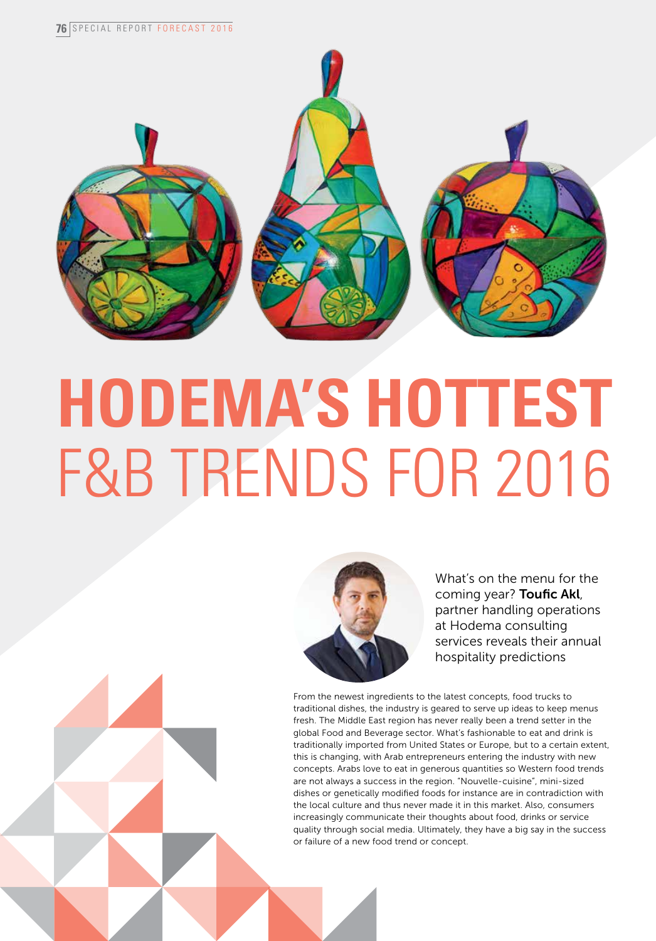

# **Hodema's hottest** F&B TRENDS FOR 2016



What's on the menu for the coming year? Toufic Akl, partner handling operations at Hodema consulting services reveals their annual hospitality predictions

From the newest ingredients to the latest concepts, food trucks to traditional dishes, the industry is geared to serve up ideas to keep menus fresh. The Middle East region has never really been a trend setter in the global Food and Beverage sector. What's fashionable to eat and drink is traditionally imported from United States or Europe, but to a certain extent, this is changing, with Arab entrepreneurs entering the industry with new concepts. Arabs love to eat in generous quantities so Western food trends are not always a success in the region. "Nouvelle-cuisine", mini-sized dishes or genetically modified foods for instance are in contradiction with the local culture and thus never made it in this market. Also, consumers increasingly communicate their thoughts about food, drinks or service quality through social media. Ultimately, they have a big say in the success or failure of a new food trend or concept.